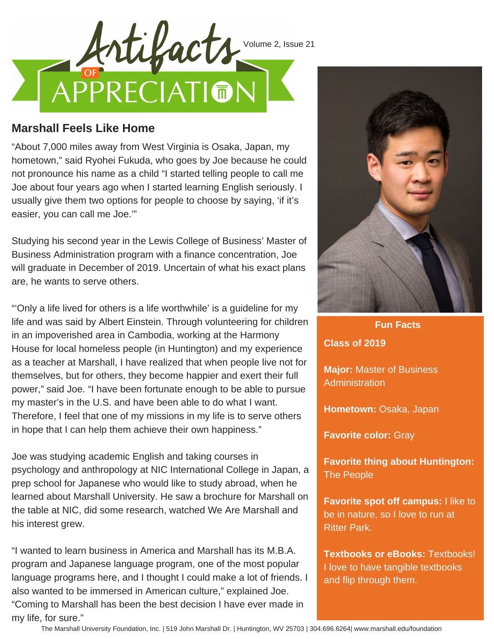

## **Marshall Feels Like Home**

"About 7,000 miles away from West Virginia is Osaka, Japan, my hometown," said Ryohei Fukuda, who goes by Joe because he could not pronounce his name as a child "I started telling people to call me Joe about four years ago when I started learning English seriously. I usually give them two options for people to choose by saying, 'if it's easier, you can call me Joe.'"

Studying his second year in the Lewis College of Business' Master of Business Administration program with a finance concentration, Joe will graduate in December of 2019. Uncertain of what his exact plans are, he wants to serve others.

"'Only a life lived for others is a life worthwhile' is a guideline for my life and was said by Albert Einstein. Through volunteering for children in an impoverished area in Cambodia, working at the Harmony House for local homeless people (in Huntington) and my experience as a teacher at Marshall, I have realized that when people live not for themselves, but for others, they become happier and exert their full power," said Joe. "I have been fortunate enough to be able to pursue my master's in the U.S. and have been able to do what I want. Therefore, I feel that one of my missions in my life is to serve others in hope that I can help them achieve their own happiness."

Joe was studying academic English and taking courses in psychology and anthropology at NIC International College in Japan, a prep school for Japanese who would like to study abroad, when he learned about Marshall University. He saw a brochure for Marshall on the table at NIC, did some research, watched We Are Marshall and his interest grew.

"I wanted to learn business in America and Marshall has its M.B.A. program and Japanese language program, one of the most popular language programs here, and I thought I could make a lot of friends. I also wanted to be immersed in American culture," explained Joe. "Coming to Marshall has been the best decision I have ever made in my life, for sure."



**Fun Facts**

**Class of 2019**

**Major:** Master of Business Administration

**Hometown:** Osaka, Japan

**Favorite color:** Gray

**Favorite thing about Huntington:** The People

**Favorite spot off campus:** I like to be in nature, so I love to run at Ritter Park.

**Textbooks or eBooks:** Textbooks! I love to have tangible textbooks and flip through them.

The Marshall University Foundation, Inc. | 519 John Marshall Dr. | Huntington, WV 25703 | 304.696.6264| www.marshall.edu/foundation